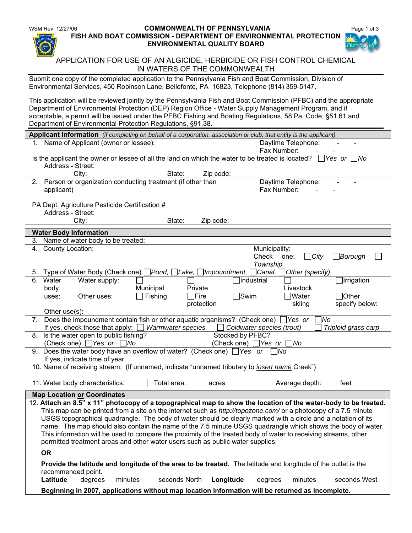#### WSM Rev. 12/27/06 **COMMONWEALTH OF PENNSYLVANIA Page 1 of 3 FISH AND BOAT COMMISSION - DEPARTMENT OF ENVIRONMENTAL PROTECTION ENVIRONMENTAL QUALITY BOARD**



# APPLICATION FOR USE OF AN ALGICIDE, HERBICIDE OR FISH CONTROL CHEMICAL IN WATERS OF THE COMMONWEALTH

Submit one copy of the completed application to the Pennsylvania Fish and Boat Commission, Division of Environmental Services, 450 Robinson Lane, Bellefonte, PA 16823, Telephone (814) 359-5147.

This application will be reviewed jointly by the Pennsylvania Fish and Boat Commission (PFBC) and the appropriate Department of Environmental Protection (DEP) Region Office - Water Supply Management Program, and if acceptable, a permit will be issued under the PFBC Fishing and Boating Regulations, 58 Pa. Code, §51.61 and Department of Environmental Protection Regulations, §91.38.

| Applicant Information (if completing on behalf of a corporation, association or club, that entity is the applicant)                                                                                                  |                           |              |                              |                |  |  |  |  |  |
|----------------------------------------------------------------------------------------------------------------------------------------------------------------------------------------------------------------------|---------------------------|--------------|------------------------------|----------------|--|--|--|--|--|
| 1. Name of Applicant (owner or lessee):<br>Daytime Telephone:                                                                                                                                                        |                           |              |                              |                |  |  |  |  |  |
|                                                                                                                                                                                                                      |                           |              | Fax Number:                  |                |  |  |  |  |  |
| Is the applicant the owner or lessee of all the land on which the water to be treated is located? $\Box$ Yes or $\Box$ No                                                                                            |                           |              |                              |                |  |  |  |  |  |
| Address - Street:                                                                                                                                                                                                    |                           |              |                              |                |  |  |  |  |  |
| City:                                                                                                                                                                                                                | State:                    | Zip code:    |                              |                |  |  |  |  |  |
| 2. Person or organization conducting treatment (if other than                                                                                                                                                        |                           |              | Daytime Telephone:           |                |  |  |  |  |  |
| applicant)                                                                                                                                                                                                           |                           |              | Fax Number:                  |                |  |  |  |  |  |
|                                                                                                                                                                                                                      |                           |              |                              |                |  |  |  |  |  |
| PA Dept. Agriculture Pesticide Certification #                                                                                                                                                                       |                           |              |                              |                |  |  |  |  |  |
| Address - Street:                                                                                                                                                                                                    |                           |              |                              |                |  |  |  |  |  |
| City:                                                                                                                                                                                                                | State:                    | Zip code:    |                              |                |  |  |  |  |  |
| <b>Water Body Information</b>                                                                                                                                                                                        |                           |              |                              |                |  |  |  |  |  |
| Name of water body to be treated:<br>3.                                                                                                                                                                              |                           |              |                              |                |  |  |  |  |  |
| 4. County Location:                                                                                                                                                                                                  |                           |              | Municipality:                |                |  |  |  |  |  |
|                                                                                                                                                                                                                      |                           |              | Check<br>$\Box$ City<br>one: | Borough]       |  |  |  |  |  |
|                                                                                                                                                                                                                      |                           |              | Township                     |                |  |  |  |  |  |
| Type of Water Body (Check one)<br>5.                                                                                                                                                                                 | ]Pond,  <br>]Lake, $\Box$ | Impoundment, | Canal,<br>Other (specify)    |                |  |  |  |  |  |
| 6. Water<br>Water supply:<br>$\Box$ Industrial<br>$\Box$ Irrigation                                                                                                                                                  |                           |              |                              |                |  |  |  |  |  |
| body                                                                                                                                                                                                                 | Municipal<br>Private      |              | Livestock                    |                |  |  |  |  |  |
| Other uses:<br>uses:                                                                                                                                                                                                 | Fishing<br>$\exists$ Fire | $\Box$ Swim  | Water <sup></sup>            | $\Box$ Other   |  |  |  |  |  |
|                                                                                                                                                                                                                      |                           | protection   | skiing                       | specify below: |  |  |  |  |  |
| Other use(s):                                                                                                                                                                                                        |                           |              |                              |                |  |  |  |  |  |
| 7. Does the impoundment contain fish or other aquatic organisms? (Check one)<br>1No<br>Yes or<br>If yes, check those that apply: $\Box$ Warmwater species<br>$\Box$ Coldwater species (trout)<br>Triploid grass carp |                           |              |                              |                |  |  |  |  |  |
| Is the water open to public fishing?<br>Stocked by PFBC?<br>8.                                                                                                                                                       |                           |              |                              |                |  |  |  |  |  |
| (Check one) $\Box$ Yes or $\Box$ No<br>(Check one) $\Box$ Yes or $\Box$ No                                                                                                                                           |                           |              |                              |                |  |  |  |  |  |
| 9. Does the water body have an overflow of water? (Check one) $\Box$ Yes or $\Box$ No                                                                                                                                |                           |              |                              |                |  |  |  |  |  |
| If yes, indicate time of year:                                                                                                                                                                                       |                           |              |                              |                |  |  |  |  |  |
| 10. Name of receiving stream: (If unnamed, indicate "unnamed tributary to insert name Creek")                                                                                                                        |                           |              |                              |                |  |  |  |  |  |
|                                                                                                                                                                                                                      |                           |              |                              |                |  |  |  |  |  |
| 11. Water body characteristics:                                                                                                                                                                                      | Total area:               | acres        | Average depth:               | feet           |  |  |  |  |  |
| <b>Map Location or Coordinates</b>                                                                                                                                                                                   |                           |              |                              |                |  |  |  |  |  |
| 12. Attach an 8.5" x 11" photocopy of a topographical map to show the location of the water-body to be treated.                                                                                                      |                           |              |                              |                |  |  |  |  |  |
| This map can be printed from a site on the internet such as http://topozone.com/ or a photocopy of a 7.5 minute                                                                                                      |                           |              |                              |                |  |  |  |  |  |
| USGS topographical quadrangle. The body of water should be clearly marked with a circle and a notation of its                                                                                                        |                           |              |                              |                |  |  |  |  |  |
| name. The map should also contain the name of the 7.5 minute USGS quadrangle which shows the body of water.                                                                                                          |                           |              |                              |                |  |  |  |  |  |
| This information will be used to compare the proximity of the treated body of water to receiving streams, other                                                                                                      |                           |              |                              |                |  |  |  |  |  |
| permitted treatment areas and other water users such as public water supplies.                                                                                                                                       |                           |              |                              |                |  |  |  |  |  |
| <b>OR</b>                                                                                                                                                                                                            |                           |              |                              |                |  |  |  |  |  |
| Provide the latitude and longitude of the area to be treated. The latitude and longitude of the outlet is the                                                                                                        |                           |              |                              |                |  |  |  |  |  |
| recommended point.                                                                                                                                                                                                   |                           |              |                              |                |  |  |  |  |  |
| Latitude<br>degrees<br>minutes                                                                                                                                                                                       | seconds North             | Longitude    | degrees<br>minutes           | seconds West   |  |  |  |  |  |
| Beginning in 2007, applications without map location information will be returned as incomplete.                                                                                                                     |                           |              |                              |                |  |  |  |  |  |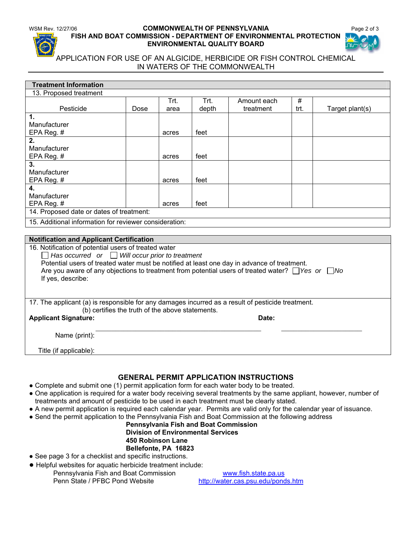### WSM Rev. 12/27/06 **COMMONWEALTH OF PENNSYLVANIA Page 2 of 3 FISH AND BOAT COMMISSION - DEPARTMENT OF ENVIRONMENTAL PROTECTION ENVIRONMENTAL QUALITY BOARD**



## APPLICATION FOR USE OF AN ALGICIDE, HERBICIDE OR FISH CONTROL CHEMICAL IN WATERS OF THE COMMONWEALTH

| <b>Treatment Information</b>                                                                                         |      |       |       |             |      |                 |  |  |
|----------------------------------------------------------------------------------------------------------------------|------|-------|-------|-------------|------|-----------------|--|--|
| 13. Proposed treatment                                                                                               |      |       |       |             |      |                 |  |  |
|                                                                                                                      |      | Trt.  | Trt.  | Amount each | #    |                 |  |  |
| Pesticide                                                                                                            | Dose | area  | depth | treatment   | trt. | Target plant(s) |  |  |
| 1.                                                                                                                   |      |       |       |             |      |                 |  |  |
| Manufacturer                                                                                                         |      |       |       |             |      |                 |  |  |
| EPA Reg. #                                                                                                           |      | acres | feet  |             |      |                 |  |  |
| 2.                                                                                                                   |      |       |       |             |      |                 |  |  |
| Manufacturer                                                                                                         |      |       |       |             |      |                 |  |  |
| EPA Reg. #                                                                                                           |      | acres | feet  |             |      |                 |  |  |
| 3.                                                                                                                   |      |       |       |             |      |                 |  |  |
| Manufacturer                                                                                                         |      |       |       |             |      |                 |  |  |
| EPA Reg. #                                                                                                           |      | acres | feet  |             |      |                 |  |  |
| 4.                                                                                                                   |      |       |       |             |      |                 |  |  |
| Manufacturer                                                                                                         |      |       |       |             |      |                 |  |  |
| EPA Reg. $#$                                                                                                         |      | acres | feet  |             |      |                 |  |  |
| 14. Proposed date or dates of treatment:                                                                             |      |       |       |             |      |                 |  |  |
| 15. Additional information for reviewer consideration:                                                               |      |       |       |             |      |                 |  |  |
|                                                                                                                      |      |       |       |             |      |                 |  |  |
| <b>Notification and Applicant Certification</b>                                                                      |      |       |       |             |      |                 |  |  |
| 16. Notification of potential users of treated water                                                                 |      |       |       |             |      |                 |  |  |
| $\Box$ Has occurred or $\Box$ Will occur prior to treatment                                                          |      |       |       |             |      |                 |  |  |
| Potential users of treated water must be notified at least one day in advance of treatment.                          |      |       |       |             |      |                 |  |  |
| Are you aware of any objections to treatment from potential users of treated water? $\Box$ Yes or $\Box$ No          |      |       |       |             |      |                 |  |  |
| If yes, describe:                                                                                                    |      |       |       |             |      |                 |  |  |
|                                                                                                                      |      |       |       |             |      |                 |  |  |
|                                                                                                                      |      |       |       |             |      |                 |  |  |
| 17. The applicant (a) is responsible for any damages incurred as a result of pesticide treatment.                    |      |       |       |             |      |                 |  |  |
| (b) certifies the truth of the above statements.                                                                     |      |       |       |             |      |                 |  |  |
| <b>Applicant Signature:</b>                                                                                          |      |       |       | Date:       |      |                 |  |  |
|                                                                                                                      |      |       |       |             |      |                 |  |  |
| Name (print):                                                                                                        |      |       |       |             |      |                 |  |  |
| Title (if applicable):                                                                                               |      |       |       |             |      |                 |  |  |
|                                                                                                                      |      |       |       |             |      |                 |  |  |
|                                                                                                                      |      |       |       |             |      |                 |  |  |
| <b>GENERAL PERMIT APPLICATION INSTRUCTIONS</b>                                                                       |      |       |       |             |      |                 |  |  |
| • Complete and submit one (1) permit application form for each water body to be treated.                             |      |       |       |             |      |                 |  |  |
| • One application is required for a water body receiving several treatments by the same appliant, however, number of |      |       |       |             |      |                 |  |  |
|                                                                                                                      |      |       |       |             |      |                 |  |  |

- treatments and amount of pesticide to be used in each treatment must be clearly stated.
- A new permit application is required each calendar year. Permits are valid only for the calendar year of issuance.
- **●** Send the permit application to the Pennsylvania Fish and Boat Commission at the following address

#### **Pennsylvania Fish and Boat Commission Division of Environmental Services 450 Robinson Lane Bellefonte, PA 16823**

- See page 3 for a checklist and specific instructions.
- Helpful websites for aquatic herbicide treatment include:
- Pennsylvania Fish and Boat Commission www.fish.state.pa.us Penn State / PFBC Pond Website http://water.cas.psu.edu/ponds.htm